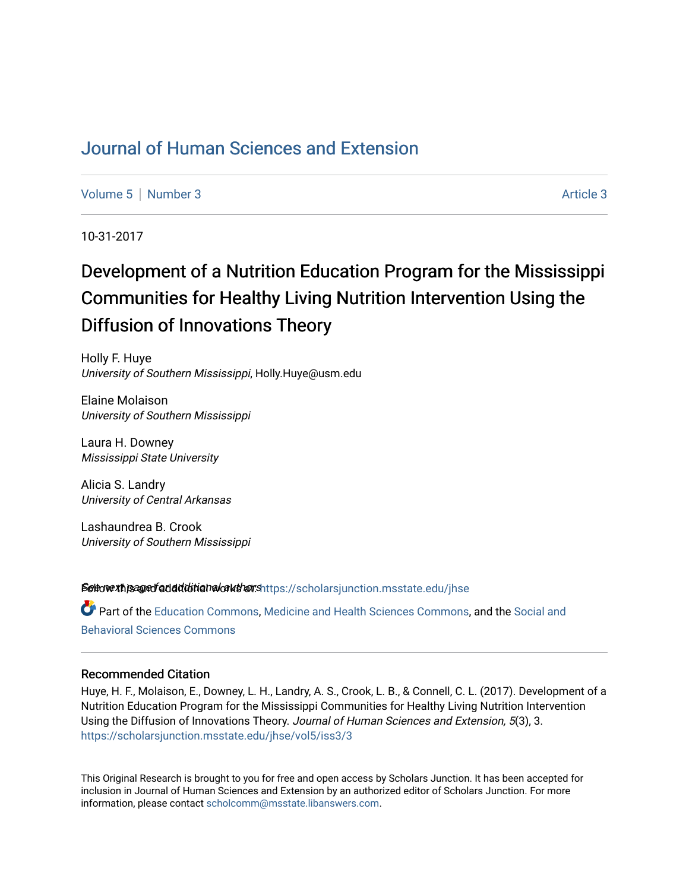## [Journal of Human Sciences and Extension](https://scholarsjunction.msstate.edu/jhse)

[Volume 5](https://scholarsjunction.msstate.edu/jhse/vol5) | [Number 3](https://scholarsjunction.msstate.edu/jhse/vol5/iss3) Article 3

10-31-2017

# Development of a Nutrition Education Program for the Mississippi Communities for Healthy Living Nutrition Intervention Using the Diffusion of Innovations Theory

Holly F. Huye University of Southern Mississippi, Holly.Huye@usm.edu

Elaine Molaison University of Southern Mississippi

Laura H. Downey Mississippi State University

Alicia S. Landry University of Central Arkansas

Lashaundrea B. Crook University of Southern Mississippi

Settovext isage faddiditional authors [https://scholarsjunction.msstate.edu/jhse](https://scholarsjunction.msstate.edu/jhse?utm_source=scholarsjunction.msstate.edu%2Fjhse%2Fvol5%2Fiss3%2F3&utm_medium=PDF&utm_campaign=PDFCoverPages)

Part of the [Education Commons](http://network.bepress.com/hgg/discipline/784?utm_source=scholarsjunction.msstate.edu%2Fjhse%2Fvol5%2Fiss3%2F3&utm_medium=PDF&utm_campaign=PDFCoverPages), [Medicine and Health Sciences Commons,](http://network.bepress.com/hgg/discipline/648?utm_source=scholarsjunction.msstate.edu%2Fjhse%2Fvol5%2Fiss3%2F3&utm_medium=PDF&utm_campaign=PDFCoverPages) and the [Social and](http://network.bepress.com/hgg/discipline/316?utm_source=scholarsjunction.msstate.edu%2Fjhse%2Fvol5%2Fiss3%2F3&utm_medium=PDF&utm_campaign=PDFCoverPages) [Behavioral Sciences Commons](http://network.bepress.com/hgg/discipline/316?utm_source=scholarsjunction.msstate.edu%2Fjhse%2Fvol5%2Fiss3%2F3&utm_medium=PDF&utm_campaign=PDFCoverPages) 

#### Recommended Citation

Huye, H. F., Molaison, E., Downey, L. H., Landry, A. S., Crook, L. B., & Connell, C. L. (2017). Development of a Nutrition Education Program for the Mississippi Communities for Healthy Living Nutrition Intervention Using the Diffusion of Innovations Theory. Journal of Human Sciences and Extension, 5(3), 3. [https://scholarsjunction.msstate.edu/jhse/vol5/iss3/3](https://scholarsjunction.msstate.edu/jhse/vol5/iss3/3?utm_source=scholarsjunction.msstate.edu%2Fjhse%2Fvol5%2Fiss3%2F3&utm_medium=PDF&utm_campaign=PDFCoverPages)

This Original Research is brought to you for free and open access by Scholars Junction. It has been accepted for inclusion in Journal of Human Sciences and Extension by an authorized editor of Scholars Junction. For more information, please contact [scholcomm@msstate.libanswers.com](mailto:scholcomm@msstate.libanswers.com).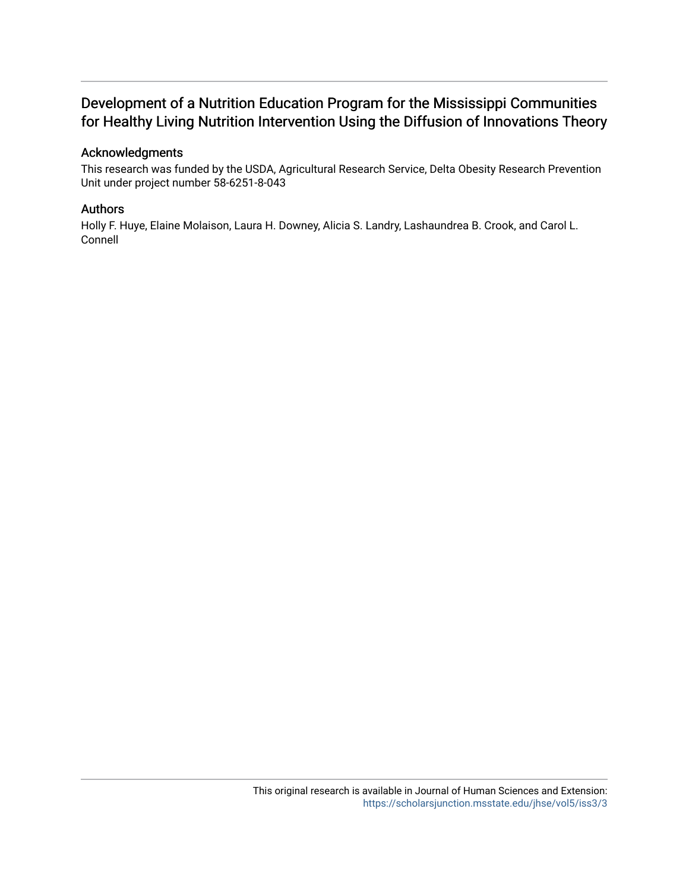## Development of a Nutrition Education Program for the Mississippi Communities for Healthy Living Nutrition Intervention Using the Diffusion of Innovations Theory

## Acknowledgments

This research was funded by the USDA, Agricultural Research Service, Delta Obesity Research Prevention Unit under project number 58-6251-8-043

#### Authors

Holly F. Huye, Elaine Molaison, Laura H. Downey, Alicia S. Landry, Lashaundrea B. Crook, and Carol L. Connell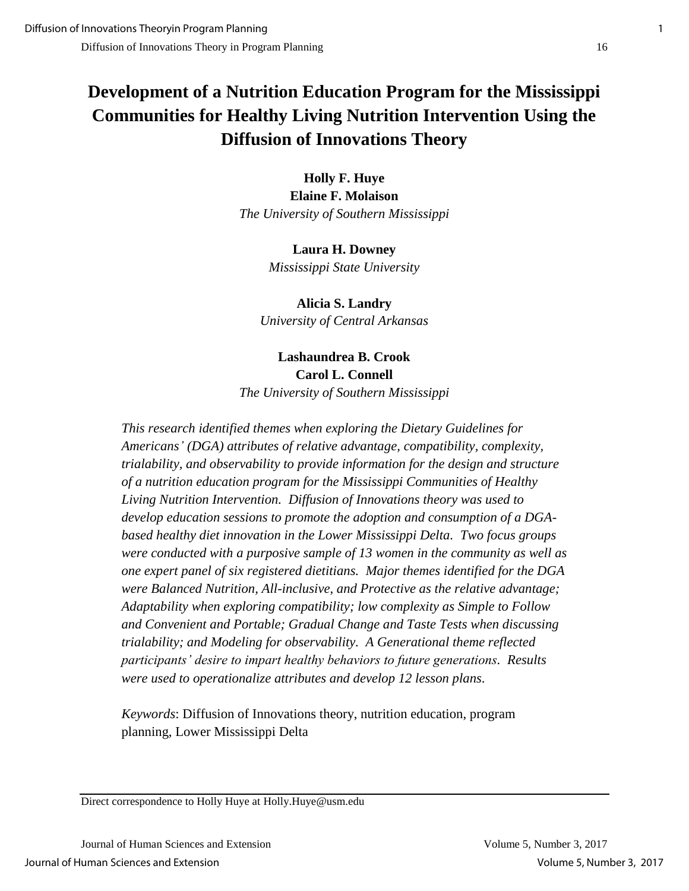# **Development of a Nutrition Education Program for the Mississippi Communities for Healthy Living Nutrition Intervention Using the Diffusion of Innovations Theory**

**Holly F. Huye Elaine F. Molaison** *The University of Southern Mississippi*

> **Laura H. Downey** *Mississippi State University*

**Alicia S. Landry** *University of Central Arkansas*

## **Lashaundrea B. Crook Carol L. Connell** *The University of Southern Mississippi*

*This research identified themes when exploring the Dietary Guidelines for Americans' (DGA) attributes of relative advantage, compatibility, complexity, trialability, and observability to provide information for the design and structure of a nutrition education program for the Mississippi Communities of Healthy Living Nutrition Intervention. Diffusion of Innovations theory was used to develop education sessions to promote the adoption and consumption of a DGAbased healthy diet innovation in the Lower Mississippi Delta. Two focus groups were conducted with a purposive sample of 13 women in the community as well as one expert panel of six registered dietitians. Major themes identified for the DGA were Balanced Nutrition, All-inclusive, and Protective as the relative advantage; Adaptability when exploring compatibility; low complexity as Simple to Follow and Convenient and Portable; Gradual Change and Taste Tests when discussing trialability; and Modeling for observability. A Generational theme reflected participants' desire to impart healthy behaviors to future generations. Results were used to operationalize attributes and develop 12 lesson plans.* 

*Keywords*: Diffusion of Innovations theory, nutrition education, program planning, Lower Mississippi Delta

Direct correspondence to Holly Huye at Holly.Huye@usm.edu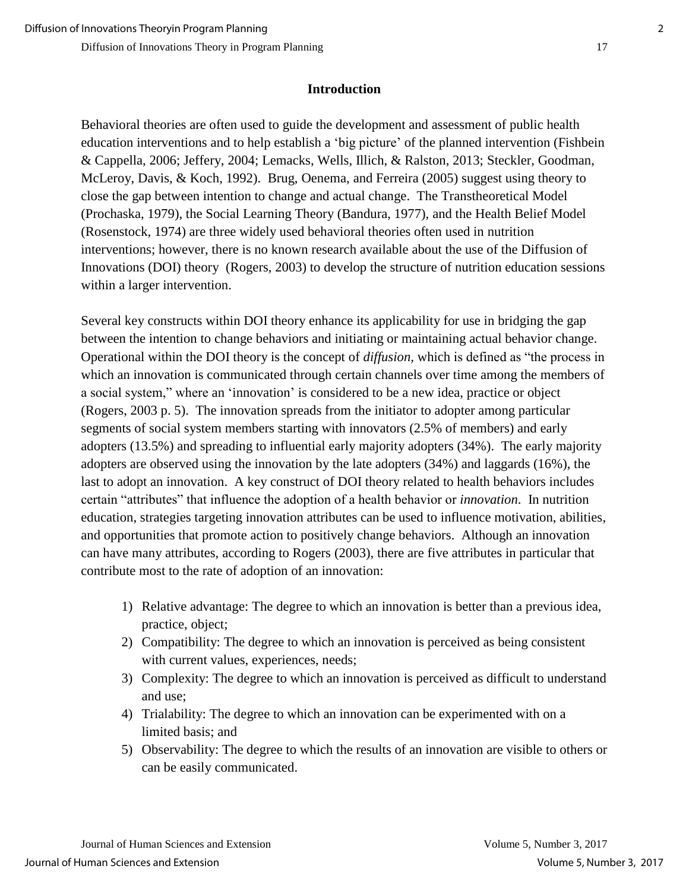## **Introduction**

Behavioral theories are often used to guide the development and assessment of public health education interventions and to help establish a 'big picture' of the planned intervention (Fishbein & Cappella, 2006; Jeffery, 2004; Lemacks, Wells, Illich, & Ralston, 2013; Steckler, Goodman, McLeroy, Davis, & Koch, 1992). Brug, Oenema, and Ferreira (2005) suggest using theory to close the gap between intention to change and actual change. The Transtheoretical Model (Prochaska, 1979), the Social Learning Theory (Bandura, 1977), and the Health Belief Model (Rosenstock, 1974) are three widely used behavioral theories often used in nutrition interventions; however, there is no known research available about the use of the Diffusion of Innovations (DOI) theory (Rogers, 2003) to develop the structure of nutrition education sessions within a larger intervention.

Several key constructs within DOI theory enhance its applicability for use in bridging the gap between the intention to change behaviors and initiating or maintaining actual behavior change. Operational within the DOI theory is the concept of *diffusion,* which is defined as "the process in which an innovation is communicated through certain channels over time among the members of a social system," where an 'innovation' is considered to be a new idea, practice or object (Rogers, 2003 p. 5). The innovation spreads from the initiator to adopter among particular segments of social system members starting with innovators (2.5% of members) and early adopters (13.5%) and spreading to influential early majority adopters (34%). The early majority adopters are observed using the innovation by the late adopters (34%) and laggards (16%), the last to adopt an innovation. A key construct of DOI theory related to health behaviors includes certain "attributes" that influence the adoption of a health behavior or *innovation*. In nutrition education, strategies targeting innovation attributes can be used to influence motivation, abilities, and opportunities that promote action to positively change behaviors. Although an innovation can have many attributes, according to Rogers (2003), there are five attributes in particular that contribute most to the rate of adoption of an innovation:

- 1) Relative advantage: The degree to which an innovation is better than a previous idea, practice, object;
- 2) Compatibility: The degree to which an innovation is perceived as being consistent with current values, experiences, needs;
- 3) Complexity: The degree to which an innovation is perceived as difficult to understand and use;
- 4) Trialability: The degree to which an innovation can be experimented with on a limited basis; and
- 5) Observability: The degree to which the results of an innovation are visible to others or can be easily communicated.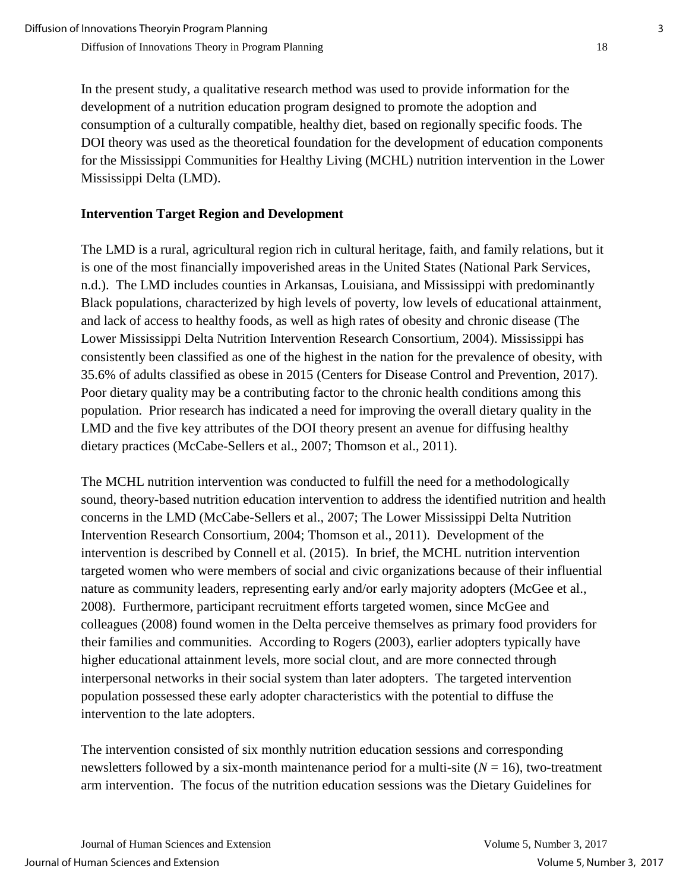In the present study, a qualitative research method was used to provide information for the development of a nutrition education program designed to promote the adoption and consumption of a culturally compatible, healthy diet, based on regionally specific foods. The DOI theory was used as the theoretical foundation for the development of education components for the Mississippi Communities for Healthy Living (MCHL) nutrition intervention in the Lower Mississippi Delta (LMD).

## **Intervention Target Region and Development**

The LMD is a rural, agricultural region rich in cultural heritage, faith, and family relations, but it is one of the most financially impoverished areas in the United States (National Park Services, n.d.). The LMD includes counties in Arkansas, Louisiana, and Mississippi with predominantly Black populations, characterized by high levels of poverty, low levels of educational attainment, and lack of access to healthy foods, as well as high rates of obesity and chronic disease (The Lower Mississippi Delta Nutrition Intervention Research Consortium, 2004). Mississippi has consistently been classified as one of the highest in the nation for the prevalence of obesity, with 35.6% of adults classified as obese in 2015 (Centers for Disease Control and Prevention, 2017). Poor dietary quality may be a contributing factor to the chronic health conditions among this population. Prior research has indicated a need for improving the overall dietary quality in the LMD and the five key attributes of the DOI theory present an avenue for diffusing healthy dietary practices (McCabe-Sellers et al., 2007; Thomson et al., 2011).

The MCHL nutrition intervention was conducted to fulfill the need for a methodologically sound, theory-based nutrition education intervention to address the identified nutrition and health concerns in the LMD (McCabe-Sellers et al., 2007; The Lower Mississippi Delta Nutrition Intervention Research Consortium, 2004; Thomson et al., 2011). Development of the intervention is described by Connell et al. (2015). In brief, the MCHL nutrition intervention targeted women who were members of social and civic organizations because of their influential nature as community leaders, representing early and/or early majority adopters (McGee et al., 2008). Furthermore, participant recruitment efforts targeted women, since McGee and colleagues (2008) found women in the Delta perceive themselves as primary food providers for their families and communities. According to Rogers (2003), earlier adopters typically have higher educational attainment levels, more social clout, and are more connected through interpersonal networks in their social system than later adopters. The targeted intervention population possessed these early adopter characteristics with the potential to diffuse the intervention to the late adopters.

The intervention consisted of six monthly nutrition education sessions and corresponding newsletters followed by a six-month maintenance period for a multi-site  $(N = 16)$ , two-treatment arm intervention. The focus of the nutrition education sessions was the Dietary Guidelines for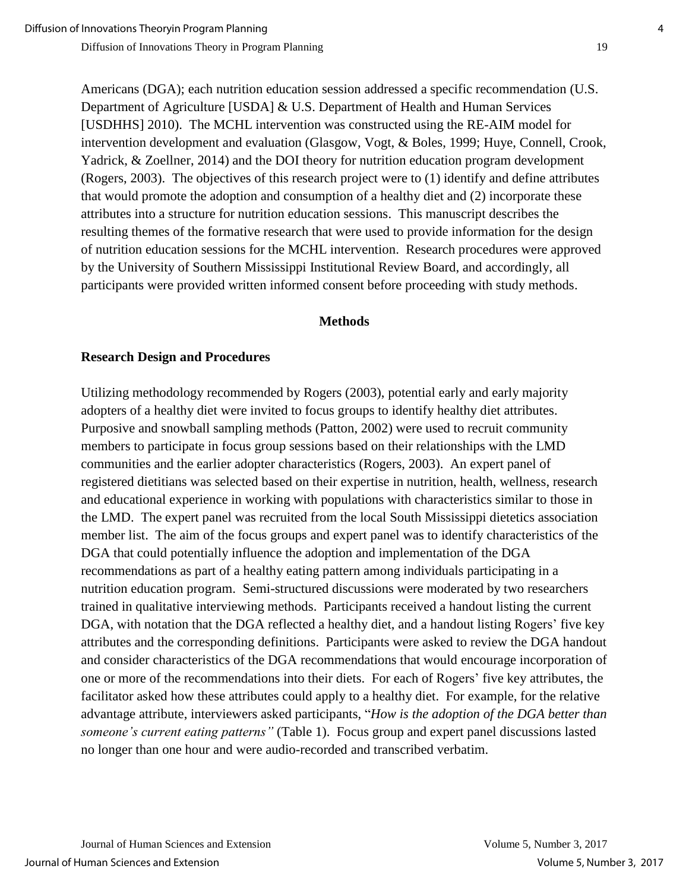Americans (DGA); each nutrition education session addressed a specific recommendation (U.S. Department of Agriculture [USDA] & U.S. Department of Health and Human Services [USDHHS] 2010). The MCHL intervention was constructed using the RE-AIM model for intervention development and evaluation (Glasgow, Vogt, & Boles, 1999; Huye, Connell, Crook, Yadrick, & Zoellner, 2014) and the DOI theory for nutrition education program development (Rogers, 2003). The objectives of this research project were to (1) identify and define attributes that would promote the adoption and consumption of a healthy diet and (2) incorporate these attributes into a structure for nutrition education sessions. This manuscript describes the resulting themes of the formative research that were used to provide information for the design of nutrition education sessions for the MCHL intervention. Research procedures were approved by the University of Southern Mississippi Institutional Review Board, and accordingly, all participants were provided written informed consent before proceeding with study methods.

#### **Methods**

## **Research Design and Procedures**

Utilizing methodology recommended by Rogers (2003), potential early and early majority adopters of a healthy diet were invited to focus groups to identify healthy diet attributes. Purposive and snowball sampling methods (Patton, 2002) were used to recruit community members to participate in focus group sessions based on their relationships with the LMD communities and the earlier adopter characteristics (Rogers, 2003). An expert panel of registered dietitians was selected based on their expertise in nutrition, health, wellness, research and educational experience in working with populations with characteristics similar to those in the LMD. The expert panel was recruited from the local South Mississippi dietetics association member list. The aim of the focus groups and expert panel was to identify characteristics of the DGA that could potentially influence the adoption and implementation of the DGA recommendations as part of a healthy eating pattern among individuals participating in a nutrition education program. Semi-structured discussions were moderated by two researchers trained in qualitative interviewing methods. Participants received a handout listing the current DGA, with notation that the DGA reflected a healthy diet, and a handout listing Rogers' five key attributes and the corresponding definitions. Participants were asked to review the DGA handout and consider characteristics of the DGA recommendations that would encourage incorporation of one or more of the recommendations into their diets. For each of Rogers' five key attributes, the facilitator asked how these attributes could apply to a healthy diet. For example, for the relative advantage attribute, interviewers asked participants, "*How is the adoption of the DGA better than someone's current eating patterns"* (Table 1). Focus group and expert panel discussions lasted no longer than one hour and were audio-recorded and transcribed verbatim.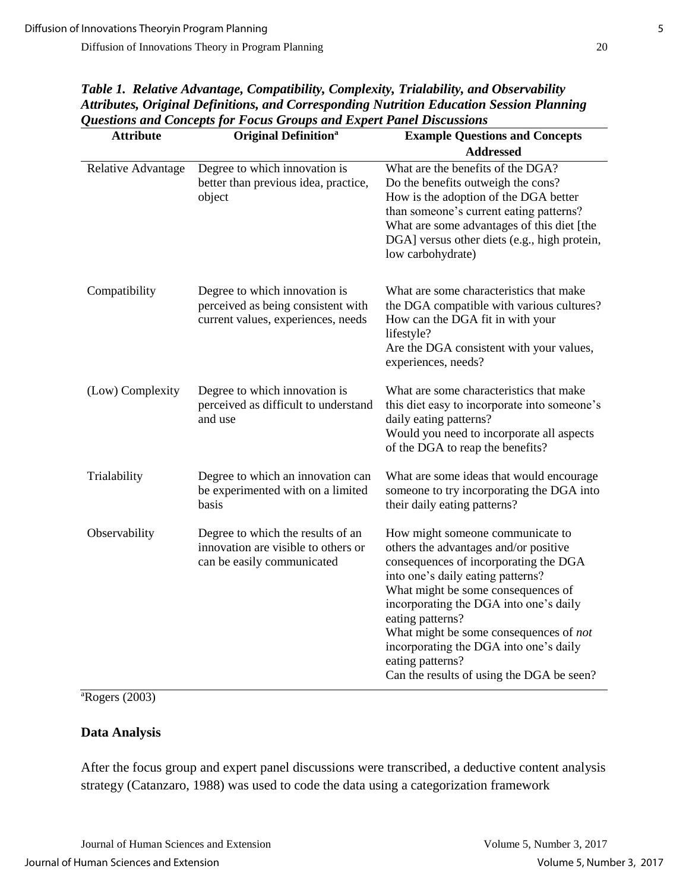| <b>Attribute</b>   | <b>Original Definition</b> <sup>a</sup>                                                                   | <b>Example Questions and Concepts</b>                                                                                                                                                                                                                                                                                                                                                                            |
|--------------------|-----------------------------------------------------------------------------------------------------------|------------------------------------------------------------------------------------------------------------------------------------------------------------------------------------------------------------------------------------------------------------------------------------------------------------------------------------------------------------------------------------------------------------------|
|                    |                                                                                                           | <b>Addressed</b>                                                                                                                                                                                                                                                                                                                                                                                                 |
| Relative Advantage | Degree to which innovation is<br>better than previous idea, practice,<br>object                           | What are the benefits of the DGA?<br>Do the benefits outweigh the cons?<br>How is the adoption of the DGA better<br>than someone's current eating patterns?<br>What are some advantages of this diet [the<br>DGA] versus other diets (e.g., high protein,<br>low carbohydrate)                                                                                                                                   |
| Compatibility      | Degree to which innovation is<br>perceived as being consistent with<br>current values, experiences, needs | What are some characteristics that make<br>the DGA compatible with various cultures?<br>How can the DGA fit in with your<br>lifestyle?<br>Are the DGA consistent with your values,<br>experiences, needs?                                                                                                                                                                                                        |
| (Low) Complexity   | Degree to which innovation is<br>perceived as difficult to understand<br>and use                          | What are some characteristics that make<br>this diet easy to incorporate into someone's<br>daily eating patterns?<br>Would you need to incorporate all aspects<br>of the DGA to reap the benefits?                                                                                                                                                                                                               |
| Trialability       | Degree to which an innovation can<br>be experimented with on a limited<br>basis                           | What are some ideas that would encourage<br>someone to try incorporating the DGA into<br>their daily eating patterns?                                                                                                                                                                                                                                                                                            |
| Observability      | Degree to which the results of an<br>innovation are visible to others or<br>can be easily communicated    | How might someone communicate to<br>others the advantages and/or positive<br>consequences of incorporating the DGA<br>into one's daily eating patterns?<br>What might be some consequences of<br>incorporating the DGA into one's daily<br>eating patterns?<br>What might be some consequences of not<br>incorporating the DGA into one's daily<br>eating patterns?<br>Can the results of using the DGA be seen? |

*Table 1. Relative Advantage, Compatibility, Complexity, Trialability, and Observability Attributes, Original Definitions, and Corresponding Nutrition Education Session Planning Questions and Concepts for Focus Groups and Expert Panel Discussions*

 ${}^{\text{a}}$ Rogers (2003)

## **Data Analysis**

After the focus group and expert panel discussions were transcribed, a deductive content analysis strategy (Catanzaro, 1988) was used to code the data using a categorization framework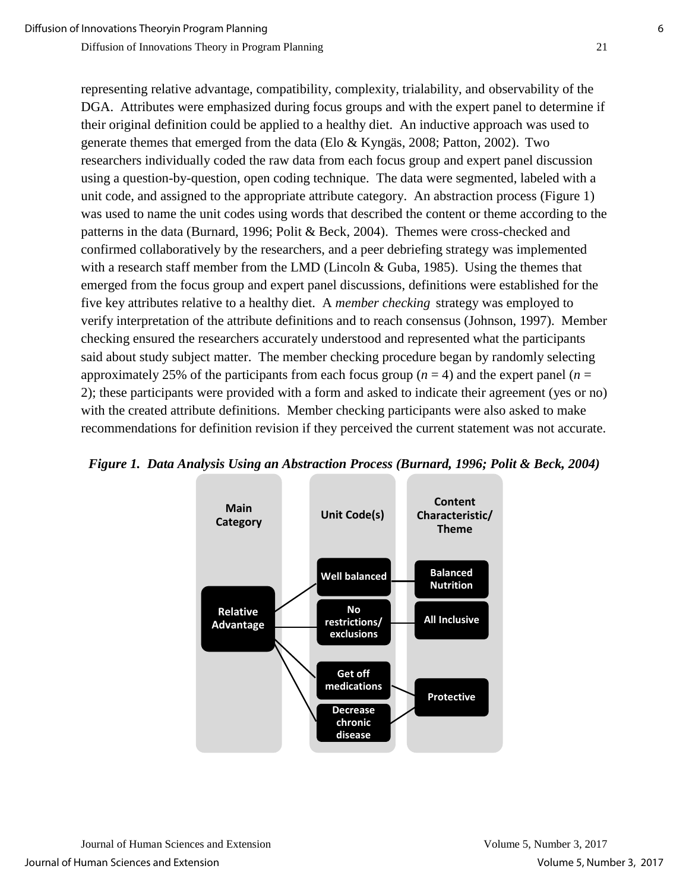representing relative advantage, compatibility, complexity, trialability, and observability of the DGA. Attributes were emphasized during focus groups and with the expert panel to determine if their original definition could be applied to a healthy diet. An inductive approach was used to generate themes that emerged from the data (Elo & Kyngäs, 2008; Patton, 2002). Two researchers individually coded the raw data from each focus group and expert panel discussion using a question-by-question, open coding technique. The data were segmented, labeled with a unit code, and assigned to the appropriate attribute category. An abstraction process (Figure 1) was used to name the unit codes using words that described the content or theme according to the patterns in the data (Burnard, 1996; Polit & Beck, 2004). Themes were cross-checked and confirmed collaboratively by the researchers, and a peer debriefing strategy was implemented with a research staff member from the LMD (Lincoln & Guba, 1985). Using the themes that emerged from the focus group and expert panel discussions, definitions were established for the five key attributes relative to a healthy diet. A *member checking* strategy was employed to verify interpretation of the attribute definitions and to reach consensus (Johnson, 1997). Member checking ensured the researchers accurately understood and represented what the participants said about study subject matter. The member checking procedure began by randomly selecting approximately 25% of the participants from each focus group  $(n = 4)$  and the expert panel  $(n = 1)$ 2); these participants were provided with a form and asked to indicate their agreement (yes or no) with the created attribute definitions. Member checking participants were also asked to make recommendations for definition revision if they perceived the current statement was not accurate.



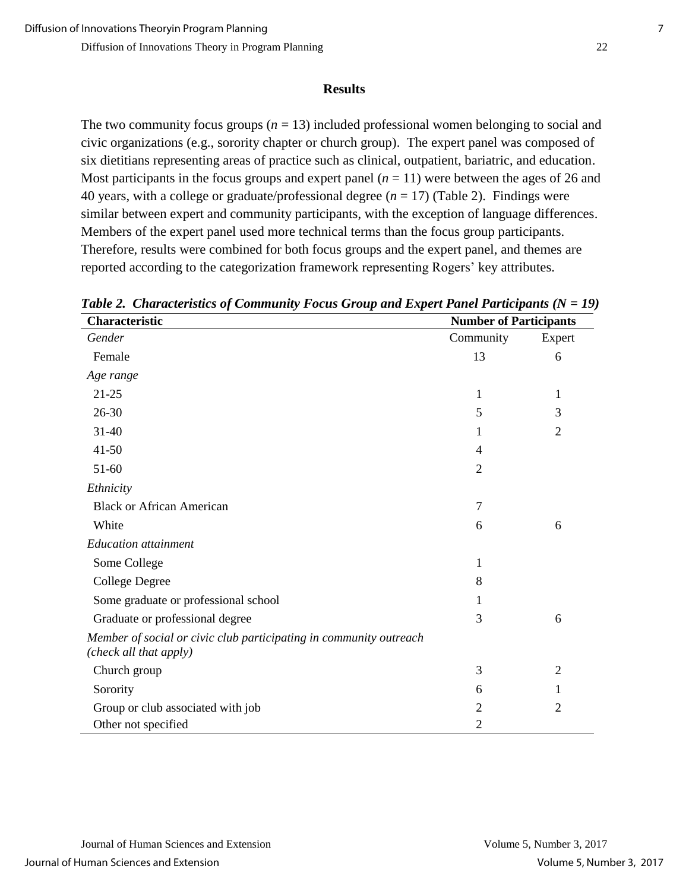#### **Results**

The two community focus groups  $(n = 13)$  included professional women belonging to social and civic organizations (e.g., sorority chapter or church group). The expert panel was composed of six dietitians representing areas of practice such as clinical, outpatient, bariatric, and education. Most participants in the focus groups and expert panel  $(n = 11)$  were between the ages of 26 and 40 years, with a college or graduate/professional degree  $(n = 17)$  (Table 2). Findings were similar between expert and community participants, with the exception of language differences. Members of the expert panel used more technical terms than the focus group participants. Therefore, results were combined for both focus groups and the expert panel, and themes are reported according to the categorization framework representing Rogers' key attributes.

| Characteristic                                                                               | <b>Number of Participants</b> |                |
|----------------------------------------------------------------------------------------------|-------------------------------|----------------|
| Gender                                                                                       | Community                     | Expert         |
| Female                                                                                       | 13                            | 6              |
| Age range                                                                                    |                               |                |
| $21 - 25$                                                                                    | 1                             | 1              |
| $26 - 30$                                                                                    | 5                             | 3              |
| $31 - 40$                                                                                    | 1                             | $\overline{2}$ |
| $41 - 50$                                                                                    | 4                             |                |
| 51-60                                                                                        | $\overline{2}$                |                |
| Ethnicity                                                                                    |                               |                |
| <b>Black or African American</b>                                                             | 7                             |                |
| White                                                                                        | 6                             | 6              |
| <b>Education</b> attainment                                                                  |                               |                |
| Some College                                                                                 | 1                             |                |
| <b>College Degree</b>                                                                        | 8                             |                |
| Some graduate or professional school                                                         | 1                             |                |
| Graduate or professional degree                                                              | 3                             | 6              |
| Member of social or civic club participating in community outreach<br>(check all that apply) |                               |                |
| Church group                                                                                 | 3                             | $\overline{2}$ |
| Sorority                                                                                     | 6                             | 1              |
| Group or club associated with job                                                            | $\overline{2}$                | $\overline{2}$ |
| Other not specified                                                                          | $\overline{2}$                |                |

*Table 2. Characteristics of Community Focus Group and Expert Panel Participants (N = 19)*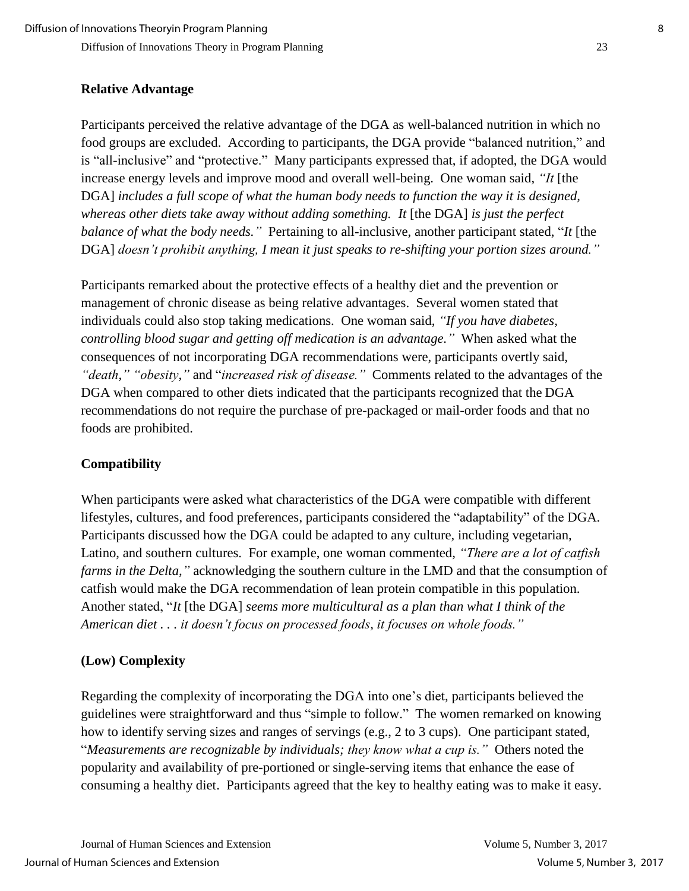## **Relative Advantage**

Participants perceived the relative advantage of the DGA as well-balanced nutrition in which no food groups are excluded. According to participants, the DGA provide "balanced nutrition," and is "all-inclusive" and "protective." Many participants expressed that, if adopted, the DGA would increase energy levels and improve mood and overall well-being. One woman said, *"It* [the DGA] *includes a full scope of what the human body needs to function the way it is designed, whereas other diets take away without adding something. It* [the DGA] *is just the perfect balance of what the body needs."* Pertaining to all-inclusive, another participant stated, "*It* [the DGA] *doesn't prohibit anything, I mean it just speaks to re-shifting your portion sizes around."*

Participants remarked about the protective effects of a healthy diet and the prevention or management of chronic disease as being relative advantages. Several women stated that individuals could also stop taking medications. One woman said, *"If you have diabetes, controlling blood sugar and getting off medication is an advantage."* When asked what the consequences of not incorporating DGA recommendations were, participants overtly said, *"death," "obesity,"* and "*increased risk of disease."* Comments related to the advantages of the DGA when compared to other diets indicated that the participants recognized that the DGA recommendations do not require the purchase of pre-packaged or mail-order foods and that no foods are prohibited.

## **Compatibility**

When participants were asked what characteristics of the DGA were compatible with different lifestyles, cultures, and food preferences, participants considered the "adaptability" of the DGA. Participants discussed how the DGA could be adapted to any culture, including vegetarian, Latino, and southern cultures. For example, one woman commented, *"There are a lot of catfish farms in the Delta,"* acknowledging the southern culture in the LMD and that the consumption of catfish would make the DGA recommendation of lean protein compatible in this population. Another stated, "*It* [the DGA] *seems more multicultural as a plan than what I think of the American diet . . . it doesn't focus on processed foods, it focuses on whole foods."* 

## **(Low) Complexity**

Regarding the complexity of incorporating the DGA into one's diet, participants believed the guidelines were straightforward and thus "simple to follow." The women remarked on knowing how to identify serving sizes and ranges of servings (e.g., 2 to 3 cups). One participant stated, "*Measurements are recognizable by individuals; they know what a cup is."* Others noted the popularity and availability of pre-portioned or single-serving items that enhance the ease of consuming a healthy diet. Participants agreed that the key to healthy eating was to make it easy.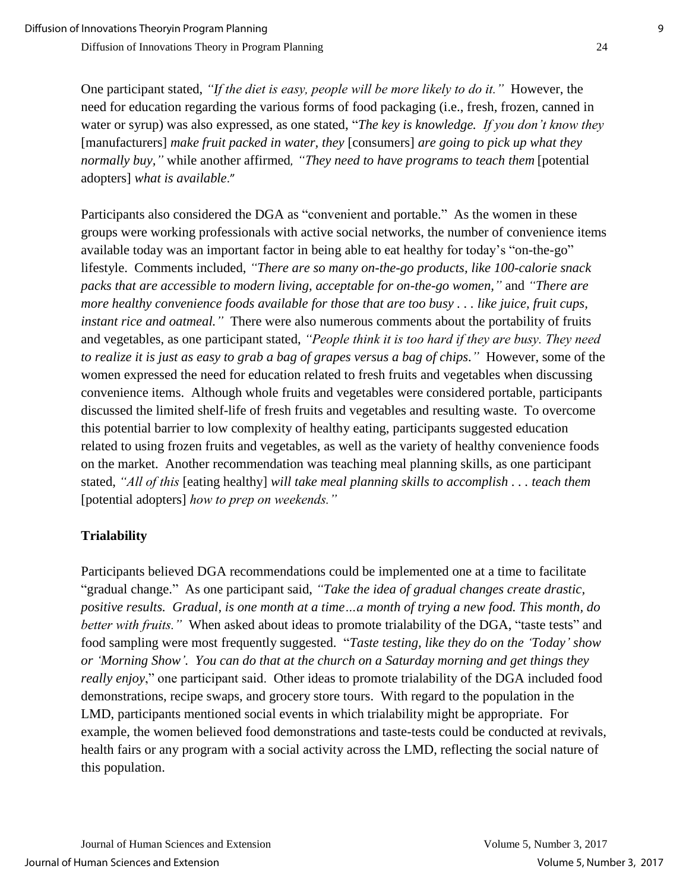One participant stated, *"If the diet is easy, people will be more likely to do it."* However, the need for education regarding the various forms of food packaging (i.e., fresh, frozen, canned in water or syrup) was also expressed, as one stated, "*The key is knowledge. If you don't know they*  [manufacturers] *make fruit packed in water, they* [consumers] *are going to pick up what they normally buy,"* while another affirmed*, "They need to have programs to teach them* [potential adopters] *what is available*."

Participants also considered the DGA as "convenient and portable." As the women in these groups were working professionals with active social networks, the number of convenience items available today was an important factor in being able to eat healthy for today's "on-the-go" lifestyle. Comments included, *"There are so many on-the-go products, like 100-calorie snack packs that are accessible to modern living, acceptable for on-the-go women,"* and *"There are more healthy convenience foods available for those that are too busy . . . like juice, fruit cups, instant rice and oatmeal."* There were also numerous comments about the portability of fruits and vegetables, as one participant stated, *"People think it is too hard if they are busy. They need to realize it is just as easy to grab a bag of grapes versus a bag of chips."* However, some of the women expressed the need for education related to fresh fruits and vegetables when discussing convenience items. Although whole fruits and vegetables were considered portable, participants discussed the limited shelf-life of fresh fruits and vegetables and resulting waste. To overcome this potential barrier to low complexity of healthy eating, participants suggested education related to using frozen fruits and vegetables, as well as the variety of healthy convenience foods on the market. Another recommendation was teaching meal planning skills, as one participant stated, *"All of this* [eating healthy] *will take meal planning skills to accomplish . . . teach them*  [potential adopters] *how to prep on weekends."*

## **Trialability**

Participants believed DGA recommendations could be implemented one at a time to facilitate "gradual change." As one participant said, *"Take the idea of gradual changes create drastic, positive results. Gradual, is one month at a time…a month of trying a new food. This month, do better with fruits."* When asked about ideas to promote trialability of the DGA, "taste tests" and food sampling were most frequently suggested. "*Taste testing, like they do on the 'Today' show or 'Morning Show'. You can do that at the church on a Saturday morning and get things they really enjoy*," one participant said. Other ideas to promote trialability of the DGA included food demonstrations, recipe swaps, and grocery store tours. With regard to the population in the LMD, participants mentioned social events in which trialability might be appropriate. For example, the women believed food demonstrations and taste-tests could be conducted at revivals, health fairs or any program with a social activity across the LMD, reflecting the social nature of this population.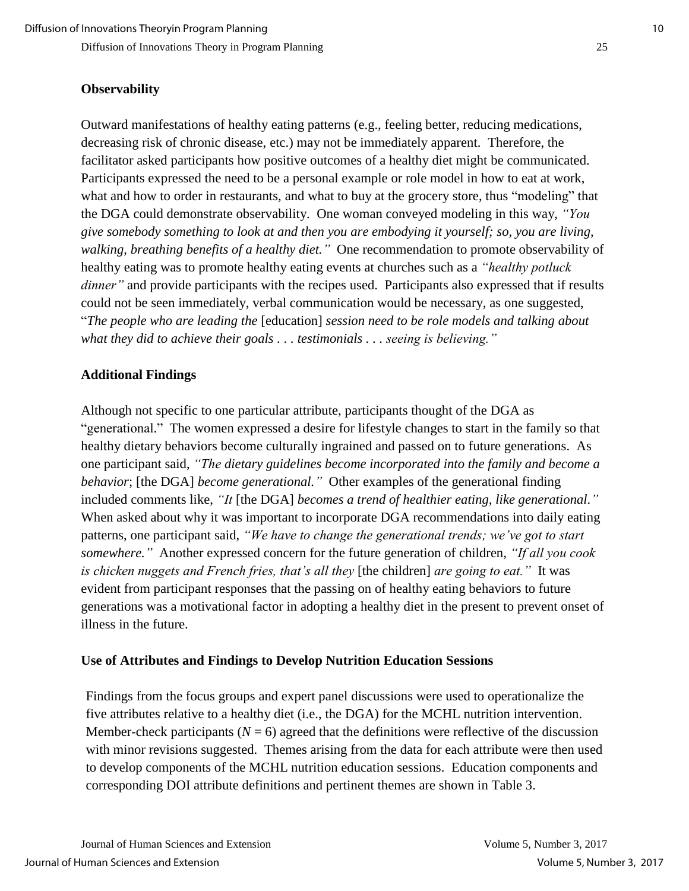#### **Observability**

Outward manifestations of healthy eating patterns (e.g., feeling better, reducing medications, decreasing risk of chronic disease, etc.) may not be immediately apparent. Therefore, the facilitator asked participants how positive outcomes of a healthy diet might be communicated. Participants expressed the need to be a personal example or role model in how to eat at work, what and how to order in restaurants, and what to buy at the grocery store, thus "modeling" that the DGA could demonstrate observability. One woman conveyed modeling in this way, *"You give somebody something to look at and then you are embodying it yourself; so, you are living, walking, breathing benefits of a healthy diet."* One recommendation to promote observability of healthy eating was to promote healthy eating events at churches such as a *"healthy potluck dinner*" and provide participants with the recipes used. Participants also expressed that if results could not be seen immediately, verbal communication would be necessary, as one suggested, "*The people who are leading the* [education] *session need to be role models and talking about what they did to achieve their goals . . . testimonials . . . seeing is believing."*

#### **Additional Findings**

Although not specific to one particular attribute, participants thought of the DGA as "generational." The women expressed a desire for lifestyle changes to start in the family so that healthy dietary behaviors become culturally ingrained and passed on to future generations. As one participant said, *"The dietary guidelines become incorporated into the family and become a behavior*; [the DGA] *become generational."* Other examples of the generational finding included comments like, *"It* [the DGA] *becomes a trend of healthier eating, like generational."* When asked about why it was important to incorporate DGA recommendations into daily eating patterns, one participant said, *"We have to change the generational trends; we've got to start somewhere."* Another expressed concern for the future generation of children, *"If all you cook is chicken nuggets and French fries, that's all they* [the children] *are going to eat."* It was evident from participant responses that the passing on of healthy eating behaviors to future generations was a motivational factor in adopting a healthy diet in the present to prevent onset of illness in the future.

#### **Use of Attributes and Findings to Develop Nutrition Education Sessions**

Findings from the focus groups and expert panel discussions were used to operationalize the five attributes relative to a healthy diet (i.e., the DGA) for the MCHL nutrition intervention. Member-check participants ( $N = 6$ ) agreed that the definitions were reflective of the discussion with minor revisions suggested. Themes arising from the data for each attribute were then used to develop components of the MCHL nutrition education sessions. Education components and corresponding DOI attribute definitions and pertinent themes are shown in Table 3.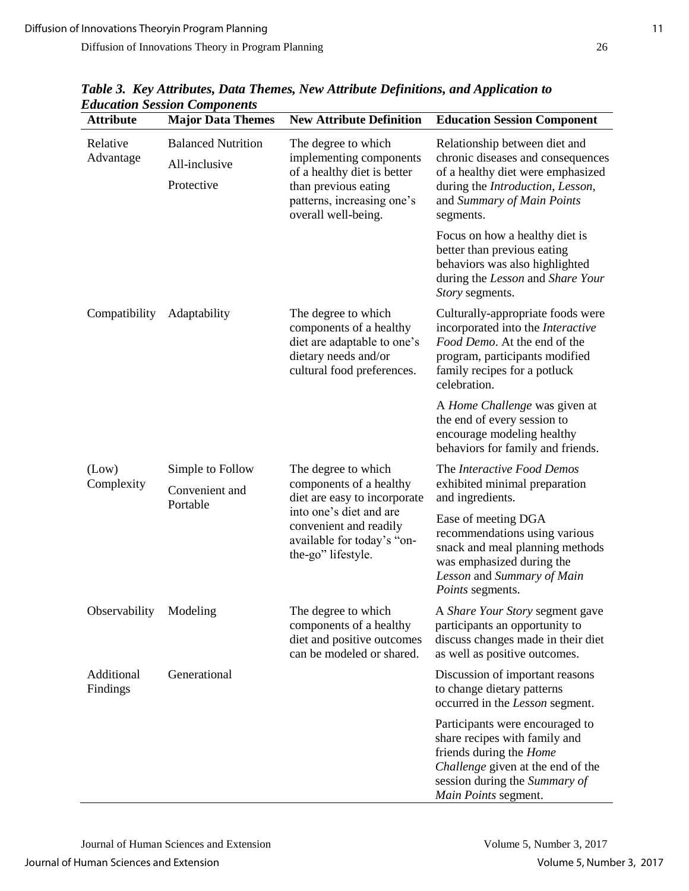| <b>Attribute</b>       | еписанон эезмон Сотронениз<br><b>Major Data Themes</b>   | <b>New Attribute Definition</b>                                                                                                                                                         | <b>Education Session Component</b>                                                                                                                                                               |
|------------------------|----------------------------------------------------------|-----------------------------------------------------------------------------------------------------------------------------------------------------------------------------------------|--------------------------------------------------------------------------------------------------------------------------------------------------------------------------------------------------|
| Relative<br>Advantage  | <b>Balanced Nutrition</b><br>All-inclusive<br>Protective | The degree to which<br>implementing components<br>of a healthy diet is better<br>than previous eating<br>patterns, increasing one's<br>overall well-being.                              | Relationship between diet and<br>chronic diseases and consequences<br>of a healthy diet were emphasized<br>during the Introduction, Lesson,<br>and Summary of Main Points<br>segments.           |
|                        |                                                          |                                                                                                                                                                                         | Focus on how a healthy diet is<br>better than previous eating<br>behaviors was also highlighted<br>during the Lesson and Share Your<br>Story segments.                                           |
| Compatibility          | Adaptability                                             | The degree to which<br>components of a healthy<br>diet are adaptable to one's<br>dietary needs and/or<br>cultural food preferences.                                                     | Culturally-appropriate foods were<br>incorporated into the <i>Interactive</i><br>Food Demo. At the end of the<br>program, participants modified<br>family recipes for a potluck<br>celebration.  |
|                        |                                                          |                                                                                                                                                                                         | A Home Challenge was given at<br>the end of every session to<br>encourage modeling healthy<br>behaviors for family and friends.                                                                  |
| (Low)<br>Complexity    | Simple to Follow<br>Convenient and<br>Portable           | The degree to which<br>components of a healthy<br>diet are easy to incorporate<br>into one's diet and are<br>convenient and readily<br>available for today's "on-<br>the-go" lifestyle. | The Interactive Food Demos<br>exhibited minimal preparation<br>and ingredients.                                                                                                                  |
|                        |                                                          |                                                                                                                                                                                         | Ease of meeting DGA<br>recommendations using various<br>snack and meal planning methods<br>was emphasized during the<br>Lesson and Summary of Main<br>Points segments.                           |
| Observability Modeling |                                                          | The degree to which<br>components of a healthy<br>diet and positive outcomes<br>can be modeled or shared.                                                                               | A Share Your Story segment gave<br>participants an opportunity to<br>discuss changes made in their diet<br>as well as positive outcomes.                                                         |
| Additional<br>Findings | Generational                                             |                                                                                                                                                                                         | Discussion of important reasons<br>to change dietary patterns<br>occurred in the Lesson segment.                                                                                                 |
|                        |                                                          |                                                                                                                                                                                         | Participants were encouraged to<br>share recipes with family and<br>friends during the <i>Home</i><br>Challenge given at the end of the<br>session during the Summary of<br>Main Points segment. |

*Table 3. Key Attributes, Data Themes, New Attribute Definitions, and Application to Education Session Components*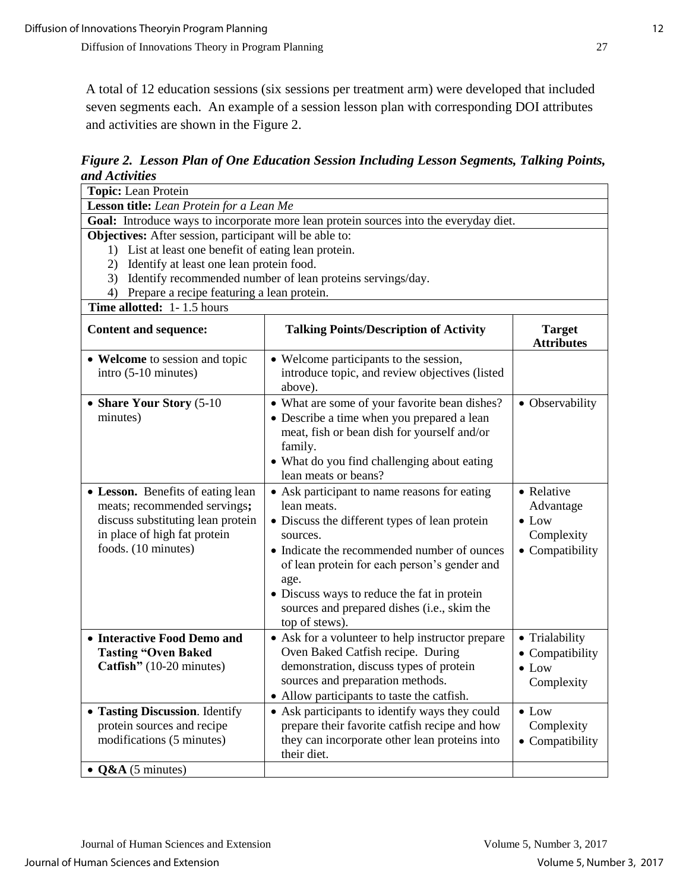A total of 12 education sessions (six sessions per treatment arm) were developed that included seven segments each. An example of a session lesson plan with corresponding DOI attributes and activities are shown in the Figure 2.

*Figure 2. Lesson Plan of One Education Session Including Lesson Segments, Talking Points, and Activities*

| Topic: Lean Protein                                                                                                                                                                                                                                                                                                  |                                                                                                                                                                                                                                                                                                                                                 |                                                                           |  |  |  |
|----------------------------------------------------------------------------------------------------------------------------------------------------------------------------------------------------------------------------------------------------------------------------------------------------------------------|-------------------------------------------------------------------------------------------------------------------------------------------------------------------------------------------------------------------------------------------------------------------------------------------------------------------------------------------------|---------------------------------------------------------------------------|--|--|--|
| Lesson title: Lean Protein for a Lean Me                                                                                                                                                                                                                                                                             |                                                                                                                                                                                                                                                                                                                                                 |                                                                           |  |  |  |
| Goal: Introduce ways to incorporate more lean protein sources into the everyday diet.                                                                                                                                                                                                                                |                                                                                                                                                                                                                                                                                                                                                 |                                                                           |  |  |  |
| Objectives: After session, participant will be able to:<br>1) List at least one benefit of eating lean protein.<br>Identify at least one lean protein food.<br>2)<br>3) Identify recommended number of lean proteins servings/day.<br>Prepare a recipe featuring a lean protein.<br>4)<br>Time allotted: 1-1.5 hours |                                                                                                                                                                                                                                                                                                                                                 |                                                                           |  |  |  |
| <b>Content and sequence:</b>                                                                                                                                                                                                                                                                                         | <b>Talking Points/Description of Activity</b>                                                                                                                                                                                                                                                                                                   | <b>Target</b><br><b>Attributes</b>                                        |  |  |  |
| • Welcome to session and topic<br>intro (5-10 minutes)                                                                                                                                                                                                                                                               | • Welcome participants to the session,<br>introduce topic, and review objectives (listed<br>above).                                                                                                                                                                                                                                             |                                                                           |  |  |  |
| • Share Your Story (5-10)<br>minutes)                                                                                                                                                                                                                                                                                | • What are some of your favorite bean dishes?<br>• Describe a time when you prepared a lean<br>meat, fish or bean dish for yourself and/or<br>family.<br>• What do you find challenging about eating<br>lean meats or beans?                                                                                                                    | • Observability                                                           |  |  |  |
| • Lesson. Benefits of eating lean<br>meats; recommended servings;<br>discuss substituting lean protein<br>in place of high fat protein<br>foods. (10 minutes)                                                                                                                                                        | • Ask participant to name reasons for eating<br>lean meats.<br>• Discuss the different types of lean protein<br>sources.<br>• Indicate the recommended number of ounces<br>of lean protein for each person's gender and<br>age.<br>• Discuss ways to reduce the fat in protein<br>sources and prepared dishes (i.e., skim the<br>top of stews). | • Relative<br>Advantage<br>$\bullet$ Low<br>Complexity<br>• Compatibility |  |  |  |
| • Interactive Food Demo and<br><b>Tasting "Oven Baked</b><br>Catfish" (10-20 minutes)                                                                                                                                                                                                                                | • Ask for a volunteer to help instructor prepare<br>Oven Baked Catfish recipe. During<br>demonstration, discuss types of protein<br>sources and preparation methods.<br>• Allow participants to taste the catfish.                                                                                                                              | • Trialability<br>• Compatibility<br>$\bullet$ Low<br>Complexity          |  |  |  |
| • Tasting Discussion. Identify<br>protein sources and recipe<br>modifications (5 minutes)                                                                                                                                                                                                                            | • Ask participants to identify ways they could<br>prepare their favorite catfish recipe and how<br>they can incorporate other lean proteins into<br>their diet.                                                                                                                                                                                 | $\bullet$ Low<br>Complexity<br>• Compatibility                            |  |  |  |
| $\bullet$ Q&A (5 minutes)                                                                                                                                                                                                                                                                                            |                                                                                                                                                                                                                                                                                                                                                 |                                                                           |  |  |  |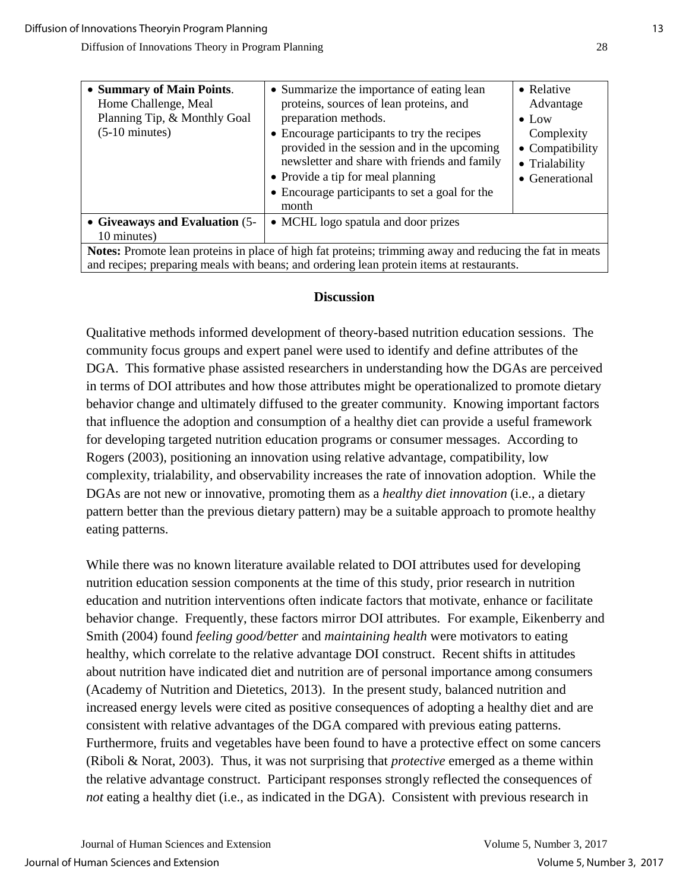| • Summary of Main Points.<br>Home Challenge, Meal<br>Planning Tip, & Monthly Goal<br>$(5-10 \text{ minutes})$ | • Summarize the importance of eating lean<br>proteins, sources of lean proteins, and<br>preparation methods.<br>• Encourage participants to try the recipes<br>provided in the session and in the upcoming<br>newsletter and share with friends and family<br>• Provide a tip for meal planning<br>• Encourage participants to set a goal for the<br>month | • Relative<br>Advantage<br>$\bullet$ Low<br>Complexity<br>• Compatibility<br>• Trialability<br>• Generational |  |  |
|---------------------------------------------------------------------------------------------------------------|------------------------------------------------------------------------------------------------------------------------------------------------------------------------------------------------------------------------------------------------------------------------------------------------------------------------------------------------------------|---------------------------------------------------------------------------------------------------------------|--|--|
| • Giveaways and Evaluation (5-                                                                                | • MCHL logo spatula and door prizes                                                                                                                                                                                                                                                                                                                        |                                                                                                               |  |  |
|                                                                                                               |                                                                                                                                                                                                                                                                                                                                                            |                                                                                                               |  |  |
| 10 minutes)                                                                                                   |                                                                                                                                                                                                                                                                                                                                                            |                                                                                                               |  |  |
| Notes: Promote lean proteins in place of high fat proteins; trimming away and reducing the fat in meats       |                                                                                                                                                                                                                                                                                                                                                            |                                                                                                               |  |  |
| and recipes; preparing meals with beans; and ordering lean protein items at restaurants.                      |                                                                                                                                                                                                                                                                                                                                                            |                                                                                                               |  |  |

## **Discussion**

Qualitative methods informed development of theory-based nutrition education sessions. The community focus groups and expert panel were used to identify and define attributes of the DGA. This formative phase assisted researchers in understanding how the DGAs are perceived in terms of DOI attributes and how those attributes might be operationalized to promote dietary behavior change and ultimately diffused to the greater community. Knowing important factors that influence the adoption and consumption of a healthy diet can provide a useful framework for developing targeted nutrition education programs or consumer messages. According to Rogers (2003), positioning an innovation using relative advantage, compatibility, low complexity, trialability, and observability increases the rate of innovation adoption. While the DGAs are not new or innovative, promoting them as a *healthy diet innovation* (i.e., a dietary pattern better than the previous dietary pattern) may be a suitable approach to promote healthy eating patterns.

While there was no known literature available related to DOI attributes used for developing nutrition education session components at the time of this study, prior research in nutrition education and nutrition interventions often indicate factors that motivate, enhance or facilitate behavior change. Frequently, these factors mirror DOI attributes. For example, Eikenberry and Smith (2004) found *feeling good/better* and *maintaining health* were motivators to eating healthy, which correlate to the relative advantage DOI construct. Recent shifts in attitudes about nutrition have indicated diet and nutrition are of personal importance among consumers (Academy of Nutrition and Dietetics, 2013). In the present study, balanced nutrition and increased energy levels were cited as positive consequences of adopting a healthy diet and are consistent with relative advantages of the DGA compared with previous eating patterns. Furthermore, fruits and vegetables have been found to have a protective effect on some cancers (Riboli & Norat, 2003). Thus, it was not surprising that *protective* emerged as a theme within the relative advantage construct. Participant responses strongly reflected the consequences of *not* eating a healthy diet (i.e., as indicated in the DGA). Consistent with previous research in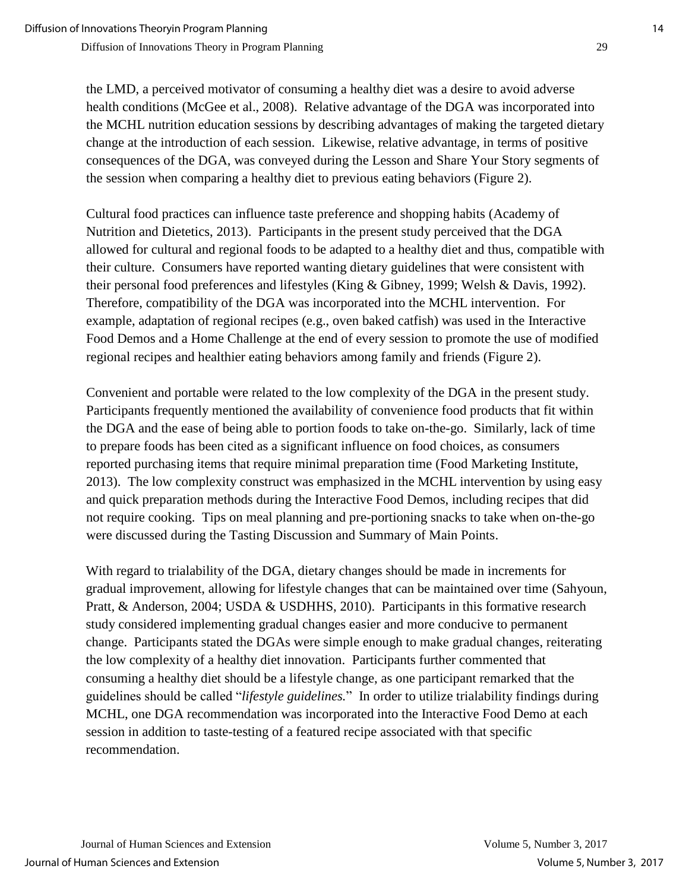the LMD, a perceived motivator of consuming a healthy diet was a desire to avoid adverse health conditions (McGee et al., 2008). Relative advantage of the DGA was incorporated into the MCHL nutrition education sessions by describing advantages of making the targeted dietary change at the introduction of each session. Likewise, relative advantage, in terms of positive consequences of the DGA, was conveyed during the Lesson and Share Your Story segments of the session when comparing a healthy diet to previous eating behaviors (Figure 2).

Cultural food practices can influence taste preference and shopping habits (Academy of Nutrition and Dietetics, 2013). Participants in the present study perceived that the DGA allowed for cultural and regional foods to be adapted to a healthy diet and thus, compatible with their culture. Consumers have reported wanting dietary guidelines that were consistent with their personal food preferences and lifestyles (King & Gibney, 1999; Welsh & Davis, 1992). Therefore, compatibility of the DGA was incorporated into the MCHL intervention. For example, adaptation of regional recipes (e.g., oven baked catfish) was used in the Interactive Food Demos and a Home Challenge at the end of every session to promote the use of modified regional recipes and healthier eating behaviors among family and friends (Figure 2).

Convenient and portable were related to the low complexity of the DGA in the present study. Participants frequently mentioned the availability of convenience food products that fit within the DGA and the ease of being able to portion foods to take on-the-go. Similarly, lack of time to prepare foods has been cited as a significant influence on food choices, as consumers reported purchasing items that require minimal preparation time (Food Marketing Institute, 2013). The low complexity construct was emphasized in the MCHL intervention by using easy and quick preparation methods during the Interactive Food Demos, including recipes that did not require cooking. Tips on meal planning and pre-portioning snacks to take when on-the-go were discussed during the Tasting Discussion and Summary of Main Points.

With regard to trialability of the DGA, dietary changes should be made in increments for gradual improvement, allowing for lifestyle changes that can be maintained over time (Sahyoun, Pratt, & Anderson, 2004; USDA & USDHHS, 2010). Participants in this formative research study considered implementing gradual changes easier and more conducive to permanent change. Participants stated the DGAs were simple enough to make gradual changes, reiterating the low complexity of a healthy diet innovation. Participants further commented that consuming a healthy diet should be a lifestyle change, as one participant remarked that the guidelines should be called "*lifestyle guidelines.*" In order to utilize trialability findings during MCHL, one DGA recommendation was incorporated into the Interactive Food Demo at each session in addition to taste-testing of a featured recipe associated with that specific recommendation.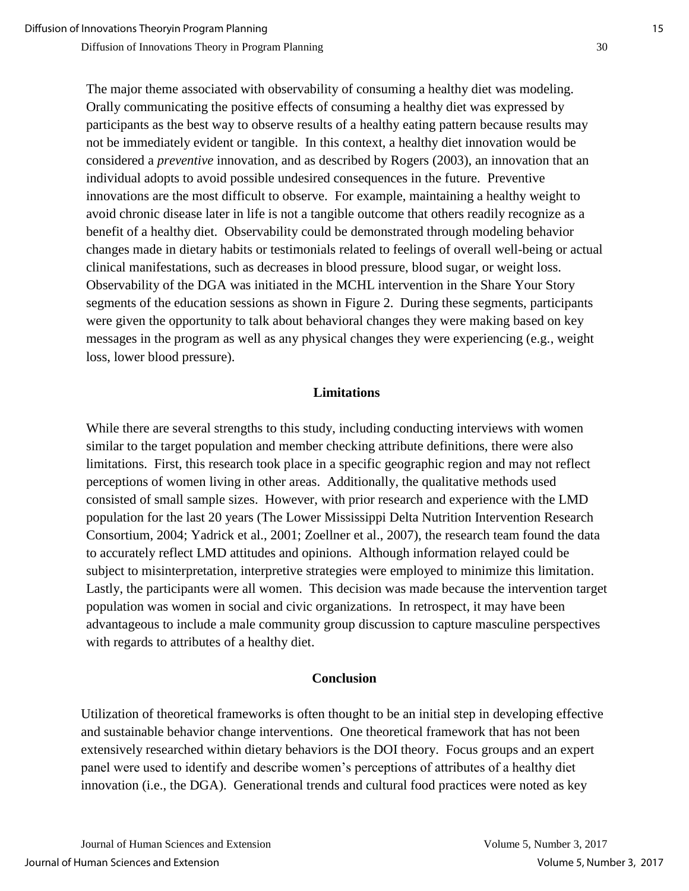The major theme associated with observability of consuming a healthy diet was modeling. Orally communicating the positive effects of consuming a healthy diet was expressed by participants as the best way to observe results of a healthy eating pattern because results may not be immediately evident or tangible. In this context, a healthy diet innovation would be considered a *preventive* innovation, and as described by Rogers (2003), an innovation that an individual adopts to avoid possible undesired consequences in the future. Preventive innovations are the most difficult to observe. For example, maintaining a healthy weight to avoid chronic disease later in life is not a tangible outcome that others readily recognize as a benefit of a healthy diet. Observability could be demonstrated through modeling behavior changes made in dietary habits or testimonials related to feelings of overall well-being or actual clinical manifestations, such as decreases in blood pressure, blood sugar, or weight loss. Observability of the DGA was initiated in the MCHL intervention in the Share Your Story segments of the education sessions as shown in Figure 2. During these segments, participants were given the opportunity to talk about behavioral changes they were making based on key messages in the program as well as any physical changes they were experiencing (e.g., weight loss, lower blood pressure).

## **Limitations**

While there are several strengths to this study, including conducting interviews with women similar to the target population and member checking attribute definitions, there were also limitations. First, this research took place in a specific geographic region and may not reflect perceptions of women living in other areas. Additionally, the qualitative methods used consisted of small sample sizes. However, with prior research and experience with the LMD population for the last 20 years (The Lower Mississippi Delta Nutrition Intervention Research Consortium, 2004; Yadrick et al., 2001; Zoellner et al., 2007), the research team found the data to accurately reflect LMD attitudes and opinions. Although information relayed could be subject to misinterpretation, interpretive strategies were employed to minimize this limitation. Lastly, the participants were all women. This decision was made because the intervention target population was women in social and civic organizations. In retrospect, it may have been advantageous to include a male community group discussion to capture masculine perspectives with regards to attributes of a healthy diet.

## **Conclusion**

Utilization of theoretical frameworks is often thought to be an initial step in developing effective and sustainable behavior change interventions. One theoretical framework that has not been extensively researched within dietary behaviors is the DOI theory. Focus groups and an expert panel were used to identify and describe women's perceptions of attributes of a healthy diet innovation (i.e., the DGA). Generational trends and cultural food practices were noted as key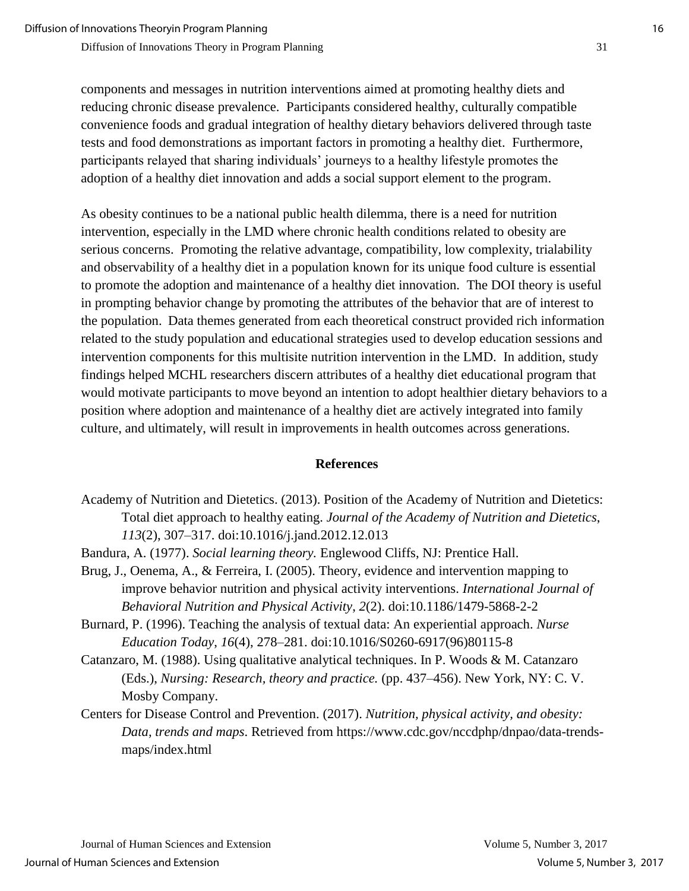components and messages in nutrition interventions aimed at promoting healthy diets and reducing chronic disease prevalence. Participants considered healthy, culturally compatible convenience foods and gradual integration of healthy dietary behaviors delivered through taste tests and food demonstrations as important factors in promoting a healthy diet. Furthermore, participants relayed that sharing individuals' journeys to a healthy lifestyle promotes the adoption of a healthy diet innovation and adds a social support element to the program.

As obesity continues to be a national public health dilemma, there is a need for nutrition intervention, especially in the LMD where chronic health conditions related to obesity are serious concerns. Promoting the relative advantage, compatibility, low complexity, trialability and observability of a healthy diet in a population known for its unique food culture is essential to promote the adoption and maintenance of a healthy diet innovation. The DOI theory is useful in prompting behavior change by promoting the attributes of the behavior that are of interest to the population. Data themes generated from each theoretical construct provided rich information related to the study population and educational strategies used to develop education sessions and intervention components for this multisite nutrition intervention in the LMD. In addition, study findings helped MCHL researchers discern attributes of a healthy diet educational program that would motivate participants to move beyond an intention to adopt healthier dietary behaviors to a position where adoption and maintenance of a healthy diet are actively integrated into family culture, and ultimately, will result in improvements in health outcomes across generations.

## **References**

- Academy of Nutrition and Dietetics. (2013). Position of the Academy of Nutrition and Dietetics: Total diet approach to healthy eating. *Journal of the Academy of Nutrition and Dietetics*, *113*(2), 307–317. doi:10.1016/j.jand.2012.12.013
- Bandura, A. (1977). *Social learning theory.* Englewood Cliffs, NJ: Prentice Hall.
- Brug, J., Oenema, A., & Ferreira, I. (2005). Theory, evidence and intervention mapping to improve behavior nutrition and physical activity interventions. *International Journal of Behavioral Nutrition and Physical Activity*, *2*(2). doi:10.1186/1479-5868-2-2
- Burnard, P. (1996). Teaching the analysis of textual data: An experiential approach. *Nurse Education Today*, *16*(4), 278–281. doi:10.1016/S0260-6917(96)80115-8
- Catanzaro, M. (1988). Using qualitative analytical techniques. In P. Woods & M. Catanzaro (Eds.), *Nursing: Research, theory and practice.* (pp. 437–456). New York, NY: C. V. Mosby Company.
- Centers for Disease Control and Prevention. (2017). *Nutrition, physical activity, and obesity: Data, trends and maps*. Retrieved from https://www.cdc.gov/nccdphp/dnpao/data-trendsmaps/index.html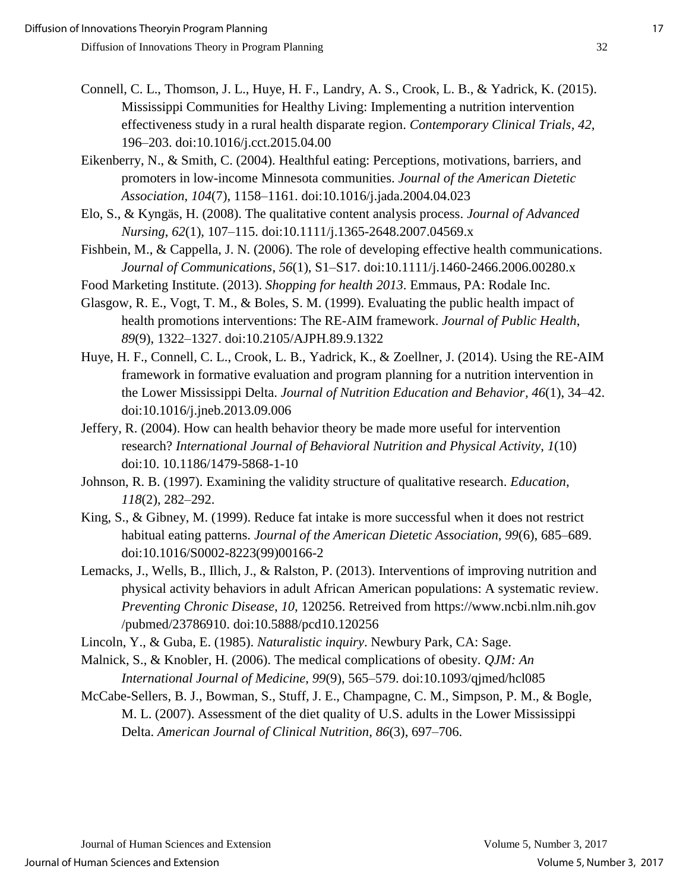- Connell, C. L., Thomson, J. L., Huye, H. F., Landry, A. S., Crook, L. B., & Yadrick, K. (2015). Mississippi Communities for Healthy Living: Implementing a nutrition intervention effectiveness study in a rural health disparate region. *Contemporary Clinical Trials, 42,*  196–203. doi:10.1016/j.cct.2015.04.00
- Eikenberry, N., & Smith, C. (2004). Healthful eating: Perceptions, motivations, barriers, and promoters in low-income Minnesota communities. *Journal of the American Dietetic Association*, *104*(7), 1158–1161. doi:10.1016/j.jada.2004.04.023
- Elo, S., & Kyngäs, H. (2008). The qualitative content analysis process. *Journal of Advanced Nursing*, *62*(1)*,* 107–115. doi:10.1111/j.1365-2648.2007.04569.x
- Fishbein, M., & Cappella, J. N. (2006). The role of developing effective health communications. *Journal of Communications*, *56*(1), S1–S17. doi:10.1111/j.1460-2466.2006.00280.x
- Food Marketing Institute. (2013). *Shopping for health 2013*. Emmaus, PA: Rodale Inc.
- Glasgow, R. E., Vogt, T. M., & Boles, S. M. (1999). Evaluating the public health impact of health promotions interventions: The RE-AIM framework. *Journal of Public Health*, *89*(9), 1322–1327. doi:10.2105/AJPH.89.9.1322
- Huye, H. F., Connell, C. L., Crook, L. B., Yadrick, K., & Zoellner, J. (2014). Using the RE-AIM framework in formative evaluation and program planning for a nutrition intervention in the Lower Mississippi Delta. *Journal of Nutrition Education and Behavior, 46*(1), 34–42. doi:10.1016/j.jneb.2013.09.006
- Jeffery, R. (2004). How can health behavior theory be made more useful for intervention research? *International Journal of Behavioral Nutrition and Physical Activity*, *1*(10) doi:10. 10.1186/1479-5868-1-10
- Johnson, R. B. (1997). Examining the validity structure of qualitative research. *Education*, *118*(2), 282–292.
- King, S., & Gibney, M. (1999). Reduce fat intake is more successful when it does not restrict habitual eating patterns. *Journal of the American Dietetic Association*, *99*(6), 685–689. doi:10.1016/S0002-8223(99)00166-2
- Lemacks, J., Wells, B., Illich, J., & Ralston, P. (2013). Interventions of improving nutrition and physical activity behaviors in adult African American populations: A systematic review. *Preventing Chronic Disease*, *10*, 120256. Retreived from https://www.ncbi.nlm.nih.gov /pubmed/23786910. doi:10.5888/pcd10.120256
- Lincoln, Y., & Guba, E. (1985). *Naturalistic inquiry*. Newbury Park, CA: Sage.
- Malnick, S., & Knobler, H. (2006). The medical complications of obesity. *QJM: An International Journal of Medicine*, *99*(9), 565–579. doi:10.1093/qjmed/hcl085
- McCabe-Sellers, B. J., Bowman, S., Stuff, J. E., Champagne, C. M., Simpson, P. M., & Bogle, M. L. (2007). Assessment of the diet quality of U.S. adults in the Lower Mississippi Delta. *American Journal of Clinical Nutrition, 86*(3), 697–706.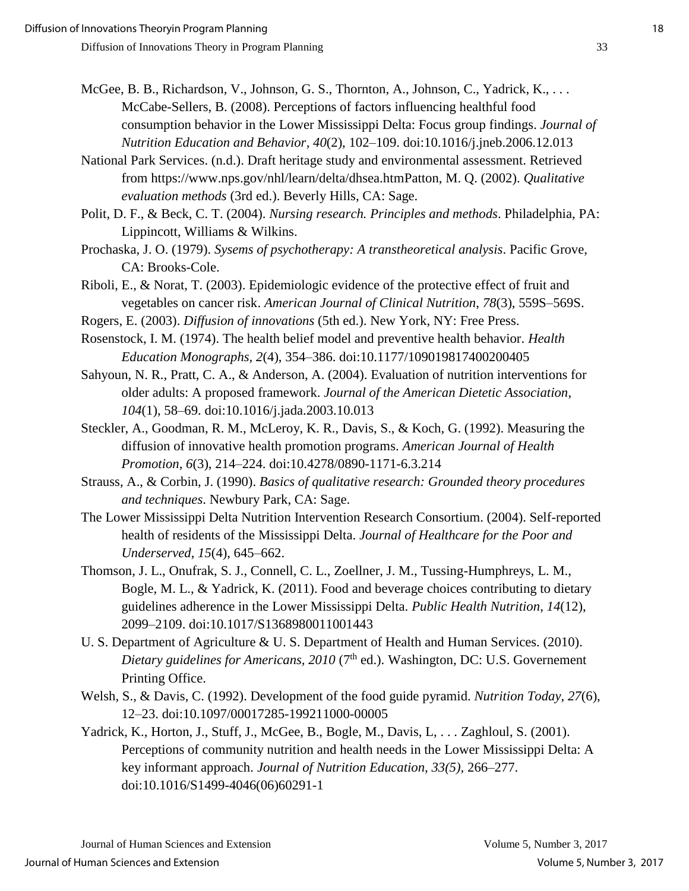- McGee, B. B., Richardson, V., Johnson, G. S., Thornton, A., Johnson, C., Yadrick, K., . . . McCabe-Sellers, B. (2008). Perceptions of factors influencing healthful food consumption behavior in the Lower Mississippi Delta: Focus group findings. *Journal of Nutrition Education and Behavior, 40*(2), 102–109. doi:10.1016/j.jneb.2006.12.013
- National Park Services. (n.d.). Draft heritage study and environmental assessment. Retrieved from https://www.nps.gov/nhl/learn/delta/dhsea.htmPatton, M. Q. (2002). *Qualitative evaluation methods* (3rd ed.). Beverly Hills, CA: Sage.
- Polit, D. F., & Beck, C. T. (2004). *Nursing research. Principles and methods*. Philadelphia, PA: Lippincott, Williams & Wilkins.
- Prochaska, J. O. (1979). *Sysems of psychotherapy: A transtheoretical analysis*. Pacific Grove, CA: Brooks-Cole.
- Riboli, E., & Norat, T. (2003). Epidemiologic evidence of the protective effect of fruit and vegetables on cancer risk. *American Journal of Clinical Nutrition*, *78*(3), 559S–569S.
- Rogers, E. (2003). *Diffusion of innovations* (5th ed.). New York, NY: Free Press.
- Rosenstock, I. M. (1974). The health belief model and preventive health behavior. *Health Education Monographs, 2*(4), 354–386. doi:10.1177/109019817400200405
- Sahyoun, N. R., Pratt, C. A., & Anderson, A. (2004). Evaluation of nutrition interventions for older adults: A proposed framework. *Journal of the American Dietetic Association*, *104*(1), 58–69. doi:10.1016/j.jada.2003.10.013
- Steckler, A., Goodman, R. M., McLeroy, K. R., Davis, S., & Koch, G. (1992). Measuring the diffusion of innovative health promotion programs. *American Journal of Health Promotion*, *6*(3), 214–224. doi:10.4278/0890-1171-6.3.214
- Strauss, A., & Corbin, J. (1990). *Basics of qualitative research: Grounded theory procedures and techniques*. Newbury Park, CA: Sage.
- The Lower Mississippi Delta Nutrition Intervention Research Consortium. (2004). Self-reported health of residents of the Mississippi Delta. *Journal of Healthcare for the Poor and Underserved*, *15*(4), 645–662.
- Thomson, J. L., Onufrak, S. J., Connell, C. L., Zoellner, J. M., Tussing-Humphreys, L. M., Bogle, M. L., & Yadrick, K. (2011). Food and beverage choices contributing to dietary guidelines adherence in the Lower Mississippi Delta. *Public Health Nutrition*, *14*(12), 2099–2109. doi:10.1017/S1368980011001443
- U. S. Department of Agriculture & U. S. Department of Health and Human Services. (2010). *Dietary guidelines for Americans, 2010* ( $7<sup>th</sup>$  ed.). Washington, DC: U.S. Governement Printing Office.
- Welsh, S., & Davis, C. (1992). Development of the food guide pyramid. *Nutrition Today*, *27*(6), 12–23. doi:10.1097/00017285-199211000-00005
- Yadrick, K., Horton, J., Stuff, J., McGee, B., Bogle, M., Davis, L. . . . Zaghloul, S. (2001). Perceptions of community nutrition and health needs in the Lower Mississippi Delta: A key informant approach. *Journal of Nutrition Education, 33(5),* 266–277. doi:10.1016/S1499-4046(06)60291-1